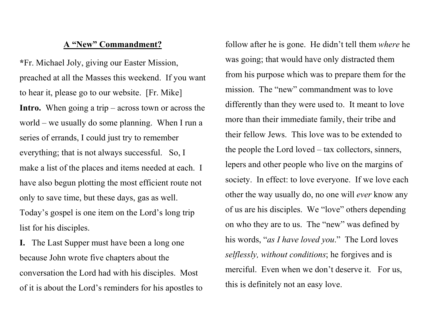## A "New" Commandment?

\*Fr. Michael Joly, giving our Easter Mission, preached at all the Masses this weekend. If you want to hear it, please go to our website. [Fr. Mike] **Intro.** When going a trip – across town or across the world – we usually do some planning. When I run a series of errands, I could just try to remember everything; that is not always successful. So, I make a list of the places and items needed at each. I have also begun plotting the most efficient route not only to save time, but these days, gas as well. Today's gospel is one item on the Lord's long trip list for his disciples.

I. The Last Supper must have been a long one because John wrote five chapters about the conversation the Lord had with his disciples. Most of it is about the Lord's reminders for his apostles to follow after he is gone. He didn't tell them where he was going; that would have only distracted them from his purpose which was to prepare them for the mission. The "new" commandment was to love differently than they were used to. It meant to love more than their immediate family, their tribe and their fellow Jews. This love was to be extended to the people the Lord loved – tax collectors, sinners, lepers and other people who live on the margins of society. In effect: to love everyone. If we love each other the way usually do, no one will ever know any of us are his disciples. We "love" others depending on who they are to us. The "new" was defined by his words, "as I have loved you." The Lord loves selflessly, without conditions; he forgives and is merciful. Even when we don't deserve it. For us, this is definitely not an easy love.